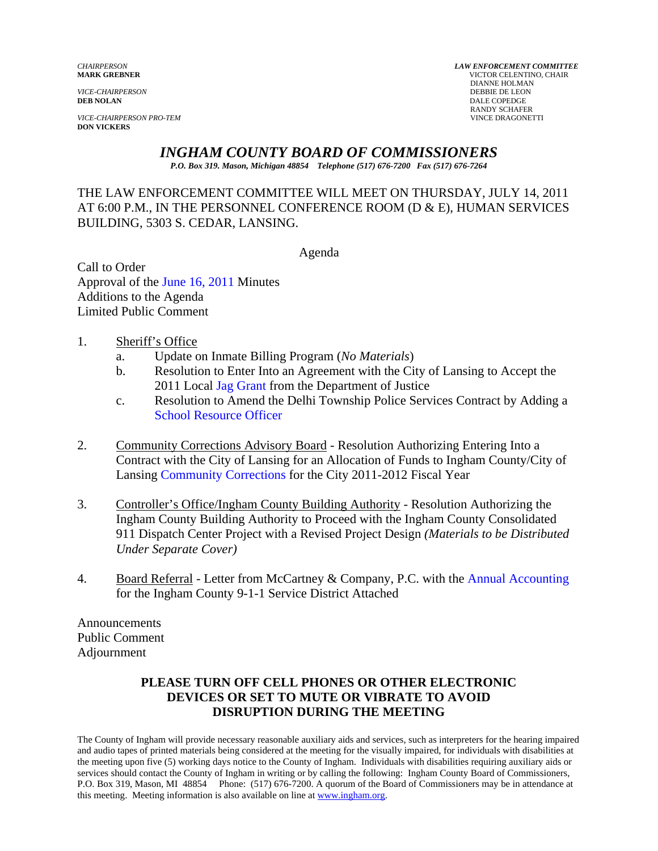*VICE-CHAIRPERSON PRO-TEM* VINCE DRAGONETTI **DON VICKERS** 

*CHAIRPERSON LAW ENFORCEMENT COMMITTEE* **MARK GREBNER** VICTOR CELENTINO, CHAIR **DIANNE HOLMAN<br>DEBBIE DE LEON** *VICE-CHAIRPERSON* DEBBIE DE LEON **DEB NOLAN** DALE COPEDGE RANDY SCHAFER

# *INGHAM COUNTY BOARD OF COMMISSIONERS*

*P.O. Box 319. Mason, Michigan 48854 Telephone (517) 676-7200 Fax (517) 676-7264*

### THE LAW ENFORCEMENT COMMITTEE WILL MEET ON THURSDAY, JULY 14, 2011 AT 6:00 P.M., IN THE PERSONNEL CONFERENCE ROOM (D & E), HUMAN SERVICES BUILDING, 5303 S. CEDAR, LANSING.

Agenda

Call to Order Approval of t[he June 16, 2011 Minutes](#page-1-0)  Additions to the Agenda Limited Public Comment

### 1. Sheriff's Office

- a. Update on Inmate Billing Program (*No Materials*)
- b. Resolution to Enter Into an Agreement with the City of Lansing to Accept the 2011 Loc[al Jag Grant from the De](#page-6-0)partment of Justice
- c. Resolution to Amend the Delhi Township Police Services Contract by Adding a [School Resource Officer](#page-8-0)
- 2. Community Corrections Advisory Board Resolution Authorizing Entering Into a Contract with the City of Lansing for an Allocation of Funds to Ingham County/City of Lansi[ng Community Corrections for the City 20](#page-9-0)11-2012 Fiscal Year
- 3. Controller's Office/Ingham County Building Authority Resolution Authorizing the Ingham County Building Authority to Proceed with the Ingham County Consolidated 911 Dispatch Center Project with a Revised Project Design *(Materials to be Distributed Under Separate Cover)*
- 4. Board Referral Letter from McCartney & Company, P.C. with t[he Annual Accounting](#page-11-0)  for the Ingham County 9-1-1 Service District Attached

Announcements Public Comment Adjournment

## **PLEASE TURN OFF CELL PHONES OR OTHER ELECTRONIC DEVICES OR SET TO MUTE OR VIBRATE TO AVOID DISRUPTION DURING THE MEETING**

The County of Ingham will provide necessary reasonable auxiliary aids and services, such as interpreters for the hearing impaired and audio tapes of printed materials being considered at the meeting for the visually impaired, for individuals with disabilities at the meeting upon five (5) working days notice to the County of Ingham. Individuals with disabilities requiring auxiliary aids or services should contact the County of Ingham in writing or by calling the following: Ingham County Board of Commissioners, P.O. Box 319, Mason, MI 48854 Phone: (517) 676-7200. A quorum of the Board of Commissioners may be in attendance at this meeting. Meeting information is also available on line at www.ingham.org.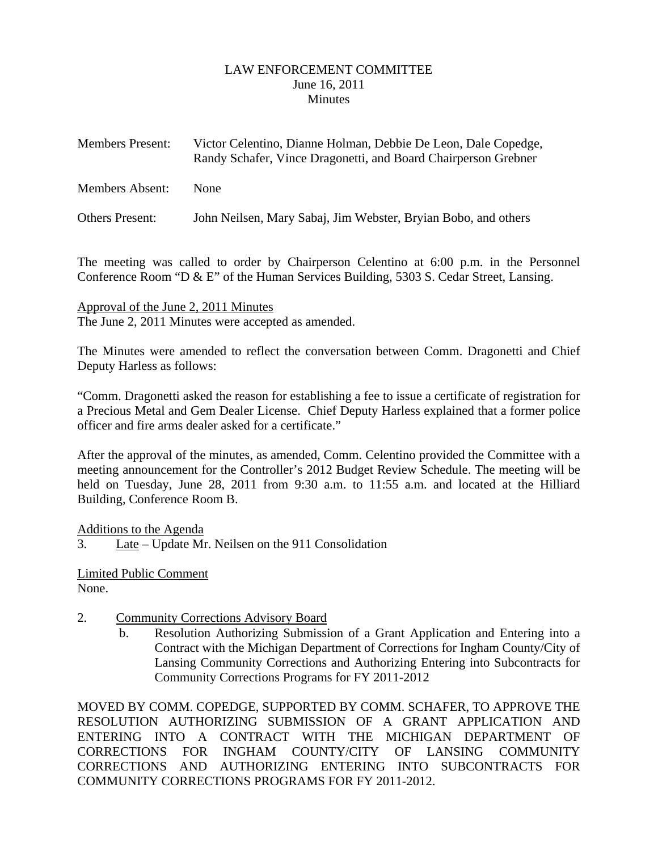#### LAW ENFORCEMENT COMMITTEE June 16, 2011 **Minutes**

<span id="page-1-0"></span>

| <b>Members Present:</b> | Victor Celentino, Dianne Holman, Debbie De Leon, Dale Copedge,<br>Randy Schafer, Vince Dragonetti, and Board Chairperson Grebner |
|-------------------------|----------------------------------------------------------------------------------------------------------------------------------|
| Members Absent:         | <b>None</b>                                                                                                                      |
| Others Present:         | John Neilsen, Mary Sabaj, Jim Webster, Bryian Bobo, and others                                                                   |

The meeting was called to order by Chairperson Celentino at 6:00 p.m. in the Personnel Conference Room "D & E" of the Human Services Building, 5303 S. Cedar Street, Lansing.

Approval of the June 2, 2011 Minutes The June 2, 2011 Minutes were accepted as amended.

The Minutes were amended to reflect the conversation between Comm. Dragonetti and Chief Deputy Harless as follows:

"Comm. Dragonetti asked the reason for establishing a fee to issue a certificate of registration for a Precious Metal and Gem Dealer License. Chief Deputy Harless explained that a former police officer and fire arms dealer asked for a certificate."

After the approval of the minutes, as amended, Comm. Celentino provided the Committee with a meeting announcement for the Controller's 2012 Budget Review Schedule. The meeting will be held on Tuesday, June 28, 2011 from 9:30 a.m. to 11:55 a.m. and located at the Hilliard Building, Conference Room B.

Additions to the Agenda

3. Late – Update Mr. Neilsen on the 911 Consolidation

Limited Public Comment None.

- 2. Community Corrections Advisory Board
	- b. Resolution Authorizing Submission of a Grant Application and Entering into a Contract with the Michigan Department of Corrections for Ingham County/City of Lansing Community Corrections and Authorizing Entering into Subcontracts for Community Corrections Programs for FY 2011-2012

MOVED BY COMM. COPEDGE, SUPPORTED BY COMM. SCHAFER, TO APPROVE THE RESOLUTION AUTHORIZING SUBMISSION OF A GRANT APPLICATION AND ENTERING INTO A CONTRACT WITH THE MICHIGAN DEPARTMENT OF CORRECTIONS FOR INGHAM COUNTY/CITY OF LANSING COMMUNITY CORRECTIONS AND AUTHORIZING ENTERING INTO SUBCONTRACTS FOR COMMUNITY CORRECTIONS PROGRAMS FOR FY 2011-2012.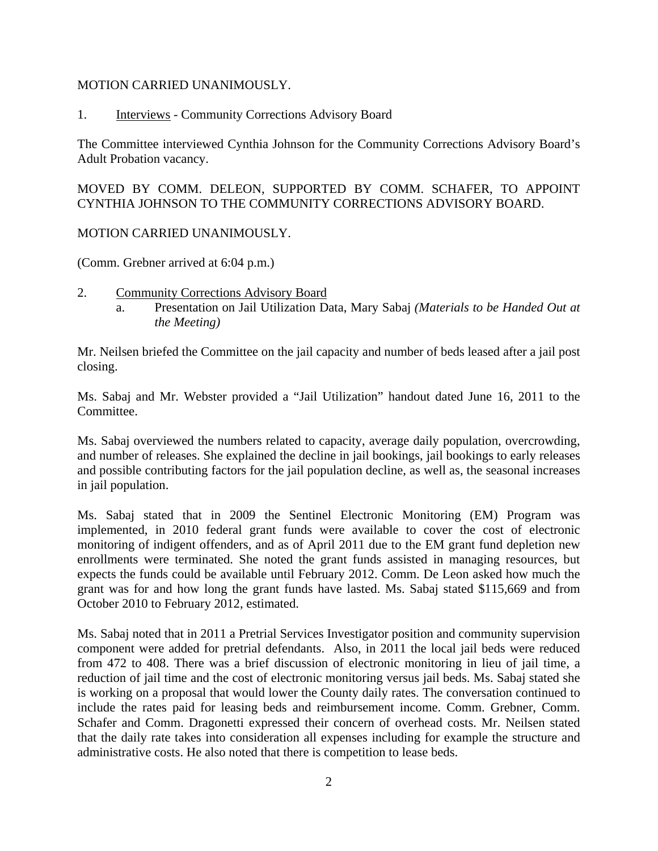#### MOTION CARRIED UNANIMOUSLY.

1. Interviews - Community Corrections Advisory Board

The Committee interviewed Cynthia Johnson for the Community Corrections Advisory Board's Adult Probation vacancy.

MOVED BY COMM. DELEON, SUPPORTED BY COMM. SCHAFER, TO APPOINT CYNTHIA JOHNSON TO THE COMMUNITY CORRECTIONS ADVISORY BOARD.

### MOTION CARRIED UNANIMOUSLY.

(Comm. Grebner arrived at 6:04 p.m.)

- 2. Community Corrections Advisory Board
	- a. Presentation on Jail Utilization Data, Mary Sabaj *(Materials to be Handed Out at the Meeting)*

Mr. Neilsen briefed the Committee on the jail capacity and number of beds leased after a jail post closing.

Ms. Sabaj and Mr. Webster provided a "Jail Utilization" handout dated June 16, 2011 to the Committee.

Ms. Sabaj overviewed the numbers related to capacity, average daily population, overcrowding, and number of releases. She explained the decline in jail bookings, jail bookings to early releases and possible contributing factors for the jail population decline, as well as, the seasonal increases in jail population.

Ms. Sabaj stated that in 2009 the Sentinel Electronic Monitoring (EM) Program was implemented, in 2010 federal grant funds were available to cover the cost of electronic monitoring of indigent offenders, and as of April 2011 due to the EM grant fund depletion new enrollments were terminated. She noted the grant funds assisted in managing resources, but expects the funds could be available until February 2012. Comm. De Leon asked how much the grant was for and how long the grant funds have lasted. Ms. Sabaj stated \$115,669 and from October 2010 to February 2012, estimated.

Ms. Sabaj noted that in 2011 a Pretrial Services Investigator position and community supervision component were added for pretrial defendants. Also, in 2011 the local jail beds were reduced from 472 to 408. There was a brief discussion of electronic monitoring in lieu of jail time, a reduction of jail time and the cost of electronic monitoring versus jail beds. Ms. Sabaj stated she is working on a proposal that would lower the County daily rates. The conversation continued to include the rates paid for leasing beds and reimbursement income. Comm. Grebner, Comm. Schafer and Comm. Dragonetti expressed their concern of overhead costs. Mr. Neilsen stated that the daily rate takes into consideration all expenses including for example the structure and administrative costs. He also noted that there is competition to lease beds.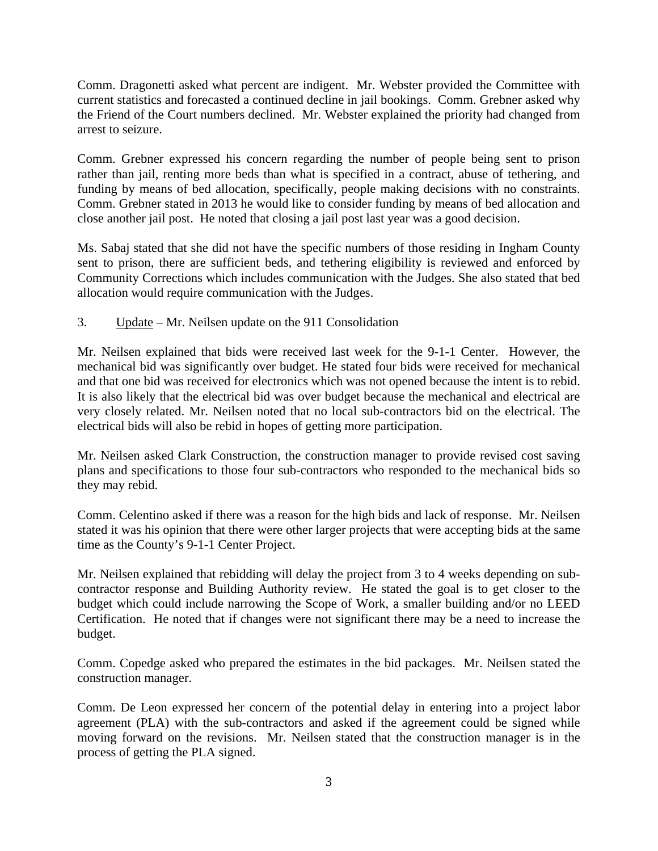Comm. Dragonetti asked what percent are indigent. Mr. Webster provided the Committee with current statistics and forecasted a continued decline in jail bookings. Comm. Grebner asked why the Friend of the Court numbers declined. Mr. Webster explained the priority had changed from arrest to seizure.

Comm. Grebner expressed his concern regarding the number of people being sent to prison rather than jail, renting more beds than what is specified in a contract, abuse of tethering, and funding by means of bed allocation, specifically, people making decisions with no constraints. Comm. Grebner stated in 2013 he would like to consider funding by means of bed allocation and close another jail post. He noted that closing a jail post last year was a good decision.

Ms. Sabaj stated that she did not have the specific numbers of those residing in Ingham County sent to prison, there are sufficient beds, and tethering eligibility is reviewed and enforced by Community Corrections which includes communication with the Judges. She also stated that bed allocation would require communication with the Judges.

3. Update – Mr. Neilsen update on the 911 Consolidation

Mr. Neilsen explained that bids were received last week for the 9-1-1 Center. However, the mechanical bid was significantly over budget. He stated four bids were received for mechanical and that one bid was received for electronics which was not opened because the intent is to rebid. It is also likely that the electrical bid was over budget because the mechanical and electrical are very closely related. Mr. Neilsen noted that no local sub-contractors bid on the electrical. The electrical bids will also be rebid in hopes of getting more participation.

Mr. Neilsen asked Clark Construction, the construction manager to provide revised cost saving plans and specifications to those four sub-contractors who responded to the mechanical bids so they may rebid.

Comm. Celentino asked if there was a reason for the high bids and lack of response. Mr. Neilsen stated it was his opinion that there were other larger projects that were accepting bids at the same time as the County's 9-1-1 Center Project.

Mr. Neilsen explained that rebidding will delay the project from 3 to 4 weeks depending on subcontractor response and Building Authority review. He stated the goal is to get closer to the budget which could include narrowing the Scope of Work, a smaller building and/or no LEED Certification. He noted that if changes were not significant there may be a need to increase the budget.

Comm. Copedge asked who prepared the estimates in the bid packages. Mr. Neilsen stated the construction manager.

Comm. De Leon expressed her concern of the potential delay in entering into a project labor agreement (PLA) with the sub-contractors and asked if the agreement could be signed while moving forward on the revisions. Mr. Neilsen stated that the construction manager is in the process of getting the PLA signed.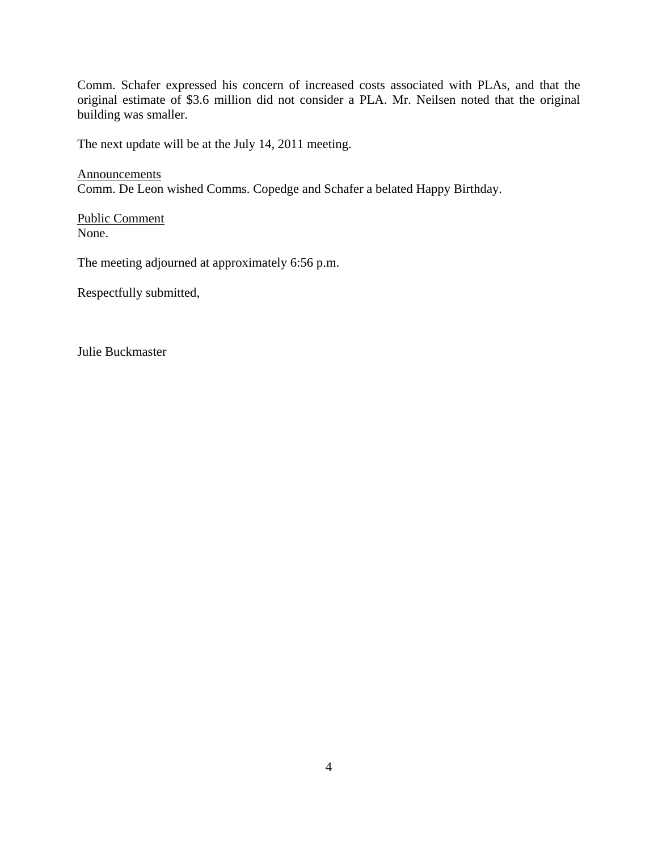Comm. Schafer expressed his concern of increased costs associated with PLAs, and that the original estimate of \$3.6 million did not consider a PLA. Mr. Neilsen noted that the original building was smaller.

The next update will be at the July 14, 2011 meeting.

**Announcements** Comm. De Leon wished Comms. Copedge and Schafer a belated Happy Birthday.

Public Comment None.

The meeting adjourned at approximately 6:56 p.m.

Respectfully submitted,

Julie Buckmaster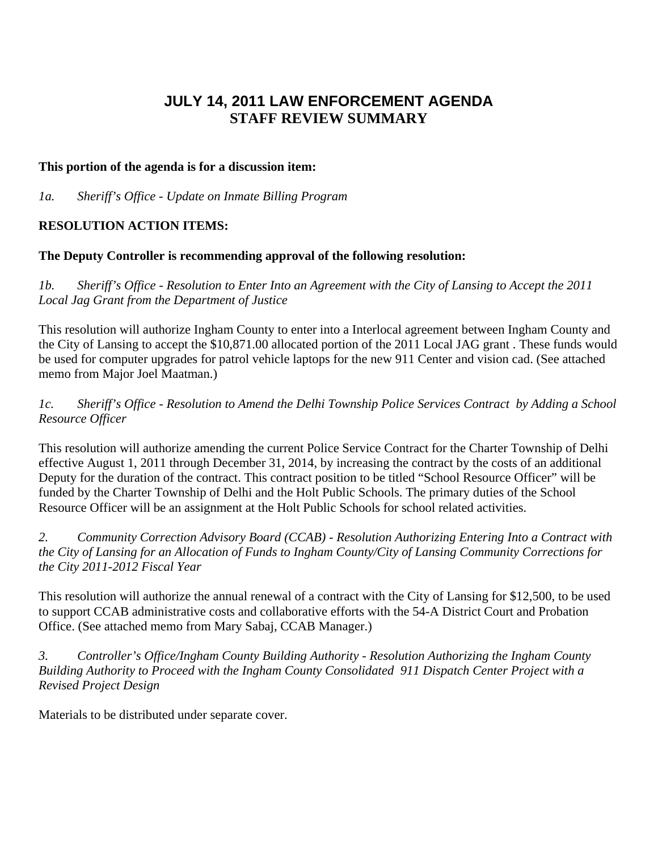# **JULY 14, 2011 LAW ENFORCEMENT AGENDA STAFF REVIEW SUMMARY**

#### **This portion of the agenda is for a discussion item:**

*1a. Sheriff's Office - Update on Inmate Billing Program* 

### **RESOLUTION ACTION ITEMS:**

### **The Deputy Controller is recommending approval of the following resolution:**

*1b. Sheriff's Office - Resolution to Enter Into an Agreement with the City of Lansing to Accept the 2011 Local Jag Grant from the Department of Justice* 

This resolution will authorize Ingham County to enter into a Interlocal agreement between Ingham County and the City of Lansing to accept the \$10,871.00 allocated portion of the 2011 Local JAG grant . These funds would be used for computer upgrades for patrol vehicle laptops for the new 911 Center and vision cad. (See attached memo from Major Joel Maatman.)

*1c. Sheriff's Office - Resolution to Amend the Delhi Township Police Services Contract by Adding a School Resource Officer* 

This resolution will authorize amending the current Police Service Contract for the Charter Township of Delhi effective August 1, 2011 through December 31, 2014, by increasing the contract by the costs of an additional Deputy for the duration of the contract. This contract position to be titled "School Resource Officer" will be funded by the Charter Township of Delhi and the Holt Public Schools. The primary duties of the School Resource Officer will be an assignment at the Holt Public Schools for school related activities.

*2. Community Correction Advisory Board (CCAB) - Resolution Authorizing Entering Into a Contract with the City of Lansing for an Allocation of Funds to Ingham County/City of Lansing Community Corrections for the City 2011-2012 Fiscal Year* 

This resolution will authorize the annual renewal of a contract with the City of Lansing for \$12,500, to be used to support CCAB administrative costs and collaborative efforts with the 54-A District Court and Probation Office. (See attached memo from Mary Sabaj, CCAB Manager.)

*3. Controller's Office/Ingham County Building Authority - Resolution Authorizing the Ingham County Building Authority to Proceed with the Ingham County Consolidated 911 Dispatch Center Project with a Revised Project Design* 

Materials to be distributed under separate cover.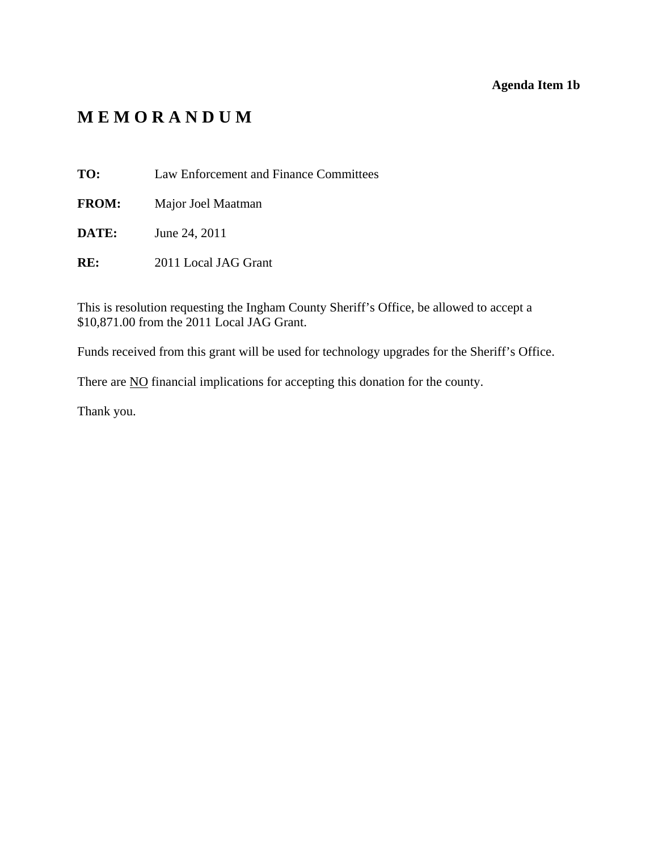### **Agenda Item 1b**

# <span id="page-6-0"></span>**M E M O R A N D U M**

**TO:** Law Enforcement and Finance Committees

**FROM:** Major Joel Maatman

**DATE:** June 24, 2011

**RE:** 2011 Local JAG Grant

This is resolution requesting the Ingham County Sheriff's Office, be allowed to accept a \$10,871.00 from the 2011 Local JAG Grant.

Funds received from this grant will be used for technology upgrades for the Sheriff's Office.

There are **NO** financial implications for accepting this donation for the county.

Thank you.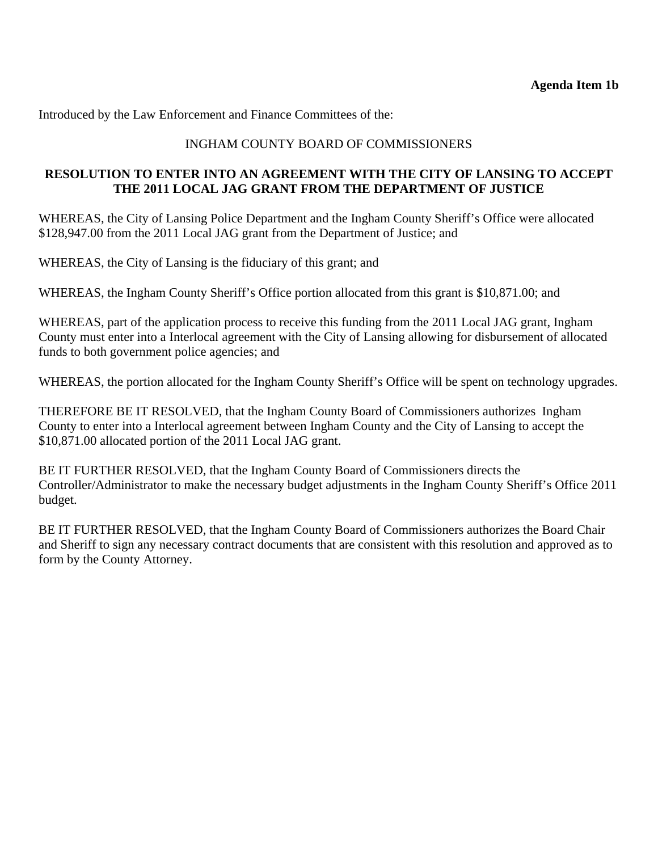Introduced by the Law Enforcement and Finance Committees of the:

## INGHAM COUNTY BOARD OF COMMISSIONERS

### **RESOLUTION TO ENTER INTO AN AGREEMENT WITH THE CITY OF LANSING TO ACCEPT THE 2011 LOCAL JAG GRANT FROM THE DEPARTMENT OF JUSTICE**

WHEREAS, the City of Lansing Police Department and the Ingham County Sheriff's Office were allocated \$128,947.00 from the 2011 Local JAG grant from the Department of Justice; and

WHEREAS, the City of Lansing is the fiduciary of this grant; and

WHEREAS, the Ingham County Sheriff's Office portion allocated from this grant is \$10,871.00; and

WHEREAS, part of the application process to receive this funding from the 2011 Local JAG grant, Ingham County must enter into a Interlocal agreement with the City of Lansing allowing for disbursement of allocated funds to both government police agencies; and

WHEREAS, the portion allocated for the Ingham County Sheriff's Office will be spent on technology upgrades.

THEREFORE BE IT RESOLVED, that the Ingham County Board of Commissioners authorizes Ingham County to enter into a Interlocal agreement between Ingham County and the City of Lansing to accept the \$10,871.00 allocated portion of the 2011 Local JAG grant.

BE IT FURTHER RESOLVED, that the Ingham County Board of Commissioners directs the Controller/Administrator to make the necessary budget adjustments in the Ingham County Sheriff's Office 2011 budget.

BE IT FURTHER RESOLVED, that the Ingham County Board of Commissioners authorizes the Board Chair and Sheriff to sign any necessary contract documents that are consistent with this resolution and approved as to form by the County Attorney.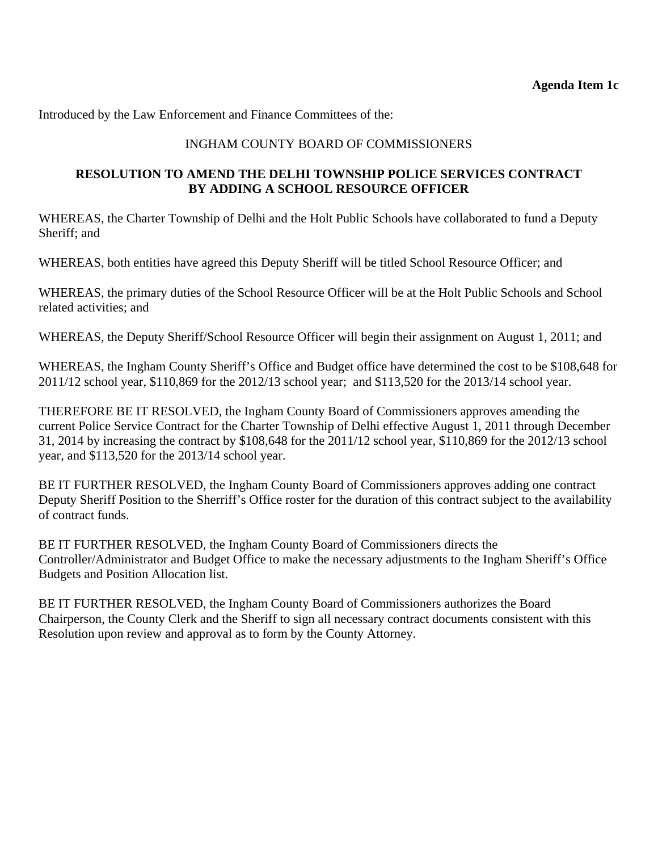<span id="page-8-0"></span>Introduced by the Law Enforcement and Finance Committees of the:

## INGHAM COUNTY BOARD OF COMMISSIONERS

### **RESOLUTION TO AMEND THE DELHI TOWNSHIP POLICE SERVICES CONTRACT BY ADDING A SCHOOL RESOURCE OFFICER**

WHEREAS, the Charter Township of Delhi and the Holt Public Schools have collaborated to fund a Deputy Sheriff; and

WHEREAS, both entities have agreed this Deputy Sheriff will be titled School Resource Officer; and

WHEREAS, the primary duties of the School Resource Officer will be at the Holt Public Schools and School related activities; and

WHEREAS, the Deputy Sheriff/School Resource Officer will begin their assignment on August 1, 2011; and

WHEREAS, the Ingham County Sheriff's Office and Budget office have determined the cost to be \$108,648 for 2011/12 school year, \$110,869 for the 2012/13 school year; and \$113,520 for the 2013/14 school year.

THEREFORE BE IT RESOLVED, the Ingham County Board of Commissioners approves amending the current Police Service Contract for the Charter Township of Delhi effective August 1, 2011 through December 31, 2014 by increasing the contract by \$108,648 for the 2011/12 school year, \$110,869 for the 2012/13 school year, and \$113,520 for the 2013/14 school year.

BE IT FURTHER RESOLVED, the Ingham County Board of Commissioners approves adding one contract Deputy Sheriff Position to the Sherriff's Office roster for the duration of this contract subject to the availability of contract funds.

BE IT FURTHER RESOLVED, the Ingham County Board of Commissioners directs the Controller/Administrator and Budget Office to make the necessary adjustments to the Ingham Sheriff's Office Budgets and Position Allocation list.

BE IT FURTHER RESOLVED, the Ingham County Board of Commissioners authorizes the Board Chairperson, the County Clerk and the Sheriff to sign all necessary contract documents consistent with this Resolution upon review and approval as to form by the County Attorney.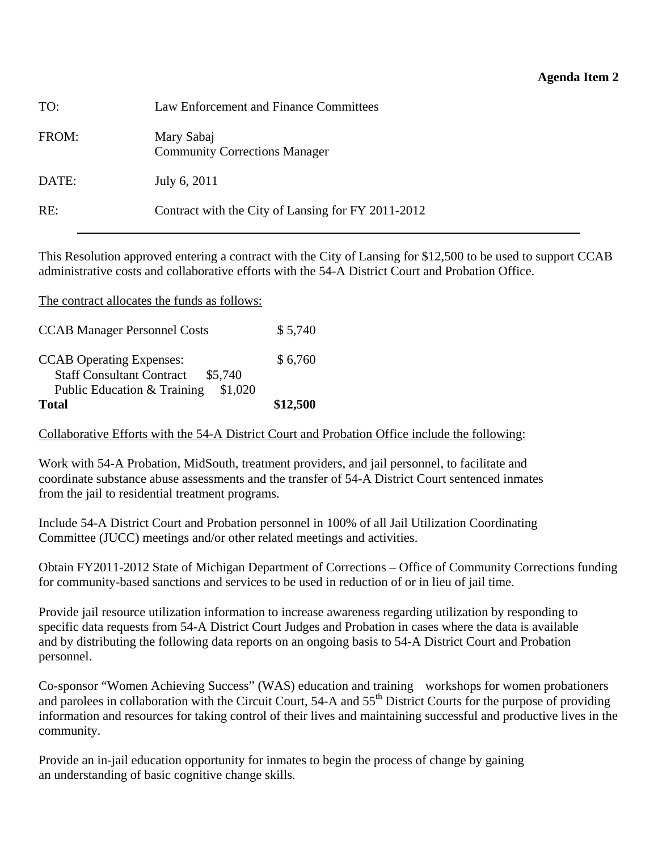<span id="page-9-0"></span>

| TO:   | Law Enforcement and Finance Committees             |
|-------|----------------------------------------------------|
| FROM: | Mary Sabaj<br><b>Community Corrections Manager</b> |
| DATE: | July 6, 2011                                       |
| RE:   | Contract with the City of Lansing for FY 2011-2012 |

This Resolution approved entering a contract with the City of Lansing for \$12,500 to be used to support CCAB administrative costs and collaborative efforts with the 54-A District Court and Probation Office.

| Total                                        | \$12,500 |
|----------------------------------------------|----------|
| Public Education & Training<br>\$1,020       |          |
| <b>Staff Consultant Contract</b><br>\$5,740  |          |
| <b>CCAB</b> Operating Expenses:              | \$6,760  |
| <b>CCAB Manager Personnel Costs</b>          | \$5,740  |
|                                              |          |
| The contract allocates the funds as follows: |          |

### Collaborative Efforts with the 54-A District Court and Probation Office include the following:

Work with 54-A Probation, MidSouth, treatment providers, and jail personnel, to facilitate and coordinate substance abuse assessments and the transfer of 54-A District Court sentenced inmates from the jail to residential treatment programs.

Include 54-A District Court and Probation personnel in 100% of all Jail Utilization Coordinating Committee (JUCC) meetings and/or other related meetings and activities.

Obtain FY2011-2012 State of Michigan Department of Corrections – Office of Community Corrections funding for community-based sanctions and services to be used in reduction of or in lieu of jail time.

Provide jail resource utilization information to increase awareness regarding utilization by responding to specific data requests from 54-A District Court Judges and Probation in cases where the data is available and by distributing the following data reports on an ongoing basis to 54-A District Court and Probation personnel.

Co-sponsor "Women Achieving Success" (WAS) education and training workshops for women probationers and parolees in collaboration with the Circuit Court, 54-A and 55<sup>th</sup> District Courts for the purpose of providing information and resources for taking control of their lives and maintaining successful and productive lives in the community.

Provide an in-jail education opportunity for inmates to begin the process of change by gaining an understanding of basic cognitive change skills.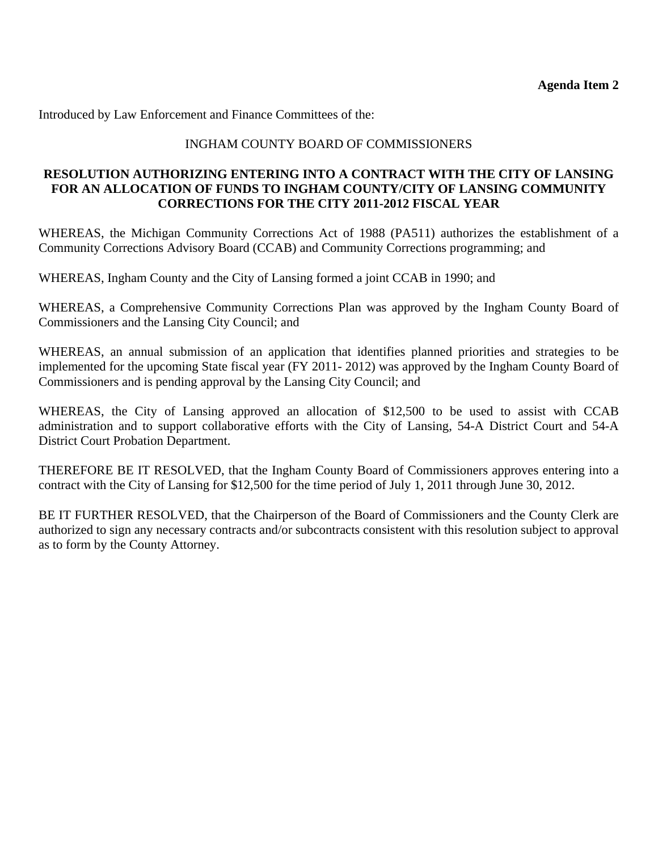Introduced by Law Enforcement and Finance Committees of the:

### INGHAM COUNTY BOARD OF COMMISSIONERS

### **RESOLUTION AUTHORIZING ENTERING INTO A CONTRACT WITH THE CITY OF LANSING FOR AN ALLOCATION OF FUNDS TO INGHAM COUNTY/CITY OF LANSING COMMUNITY CORRECTIONS FOR THE CITY 2011-2012 FISCAL YEAR**

WHEREAS, the Michigan Community Corrections Act of 1988 (PA511) authorizes the establishment of a Community Corrections Advisory Board (CCAB) and Community Corrections programming; and

WHEREAS, Ingham County and the City of Lansing formed a joint CCAB in 1990; and

WHEREAS, a Comprehensive Community Corrections Plan was approved by the Ingham County Board of Commissioners and the Lansing City Council; and

WHEREAS, an annual submission of an application that identifies planned priorities and strategies to be implemented for the upcoming State fiscal year (FY 2011- 2012) was approved by the Ingham County Board of Commissioners and is pending approval by the Lansing City Council; and

WHEREAS, the City of Lansing approved an allocation of \$12,500 to be used to assist with CCAB administration and to support collaborative efforts with the City of Lansing, 54-A District Court and 54-A District Court Probation Department.

THEREFORE BE IT RESOLVED, that the Ingham County Board of Commissioners approves entering into a contract with the City of Lansing for \$12,500 for the time period of July 1, 2011 through June 30, 2012.

BE IT FURTHER RESOLVED, that the Chairperson of the Board of Commissioners and the County Clerk are authorized to sign any necessary contracts and/or subcontracts consistent with this resolution subject to approval as to form by the County Attorney.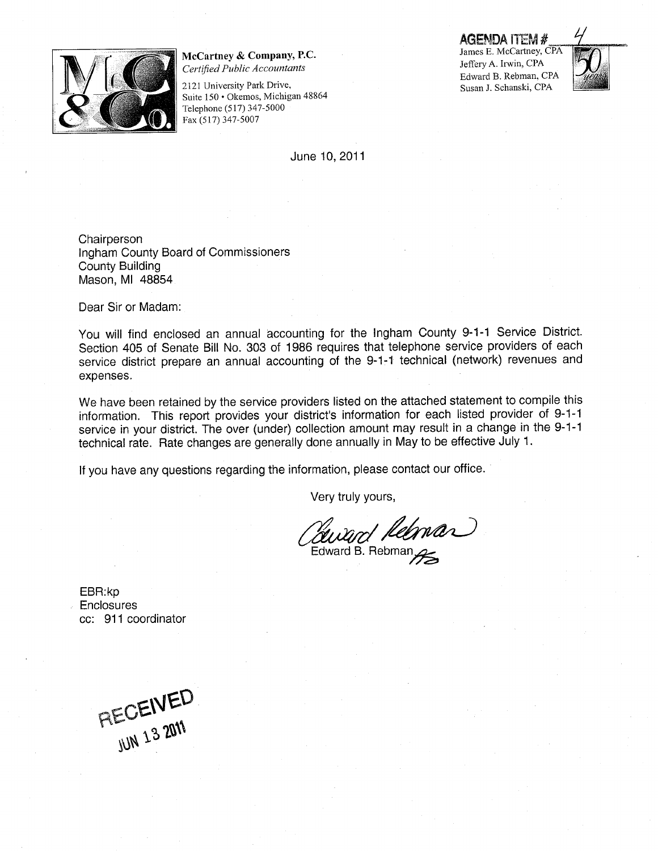<span id="page-11-0"></span>

McCartney & Company, P.C. Certified Public Accountants

2121 University Park Drive, Suite 150 · Okemos, Michigan 48864 Telephone (517) 347-5000 Fax (517) 347-5007

June 10,2011

AGENDA ITEM #

James E. McCartney, CPA Jeffery A. Irwin, CPA Edward B. Rebman, CPA Susan J. Schanski, CPA



**Chairperson** Ingham County Board of Commissioners County Building Mason, Ml 48854

Dear Sir or Madam:

You will find enclosed an annual accounting for the Ingham County 9-1-1 Service District. Section 405 of Senate Bill No. 303 of 1986 requires that telephone service providers of each service district prepare an annual accounting of the 9-1-1 technical (network) revenues and expenses.

We have been retained by the service providers listed on the attached statement to compile this information. This report provides your district's information for each listed provider of 9-1-1 service in your district. The over (under) collection amount may result in a change in the 9-1-1 technical rate. Rate changes are generally done annually in May to be effective July 1.

If you have any questions regarding the information, please contact our office.

Very truly yours,

ward Reeman Edward B. Rebman

EBR:kp **Enclosures** cc: 911 coordinator

PIECEIVED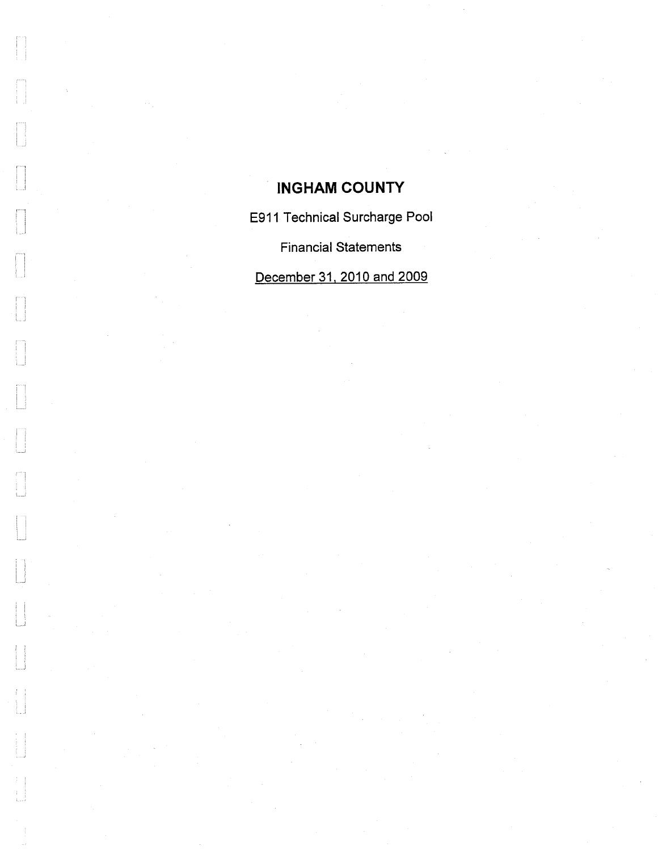# INGHAM COUNTY

 $\begin{bmatrix} 1 \\ 1 \end{bmatrix}$ 

 $\begin{bmatrix} 1 \\ 1 \end{bmatrix}$ 

 $\begin{bmatrix} 1 & 0 \\ 0 & 1 \end{bmatrix}$ 

 $\sqrt{2}$ 

 $\begin{bmatrix} 1 \\ 1 \\ 1 \\ 1 \end{bmatrix}$ 

 $\begin{bmatrix} 1 & 0 & 0 \\ 0 & 1 & 0 \\ 0 & 0 & 0 \\ 0 & 0 & 0 \end{bmatrix}$ 

 $\mathbb{F}$ 

ţ.

E911 Technical Surcharge Pool

Financial Statements

December 31. 2010 and 2009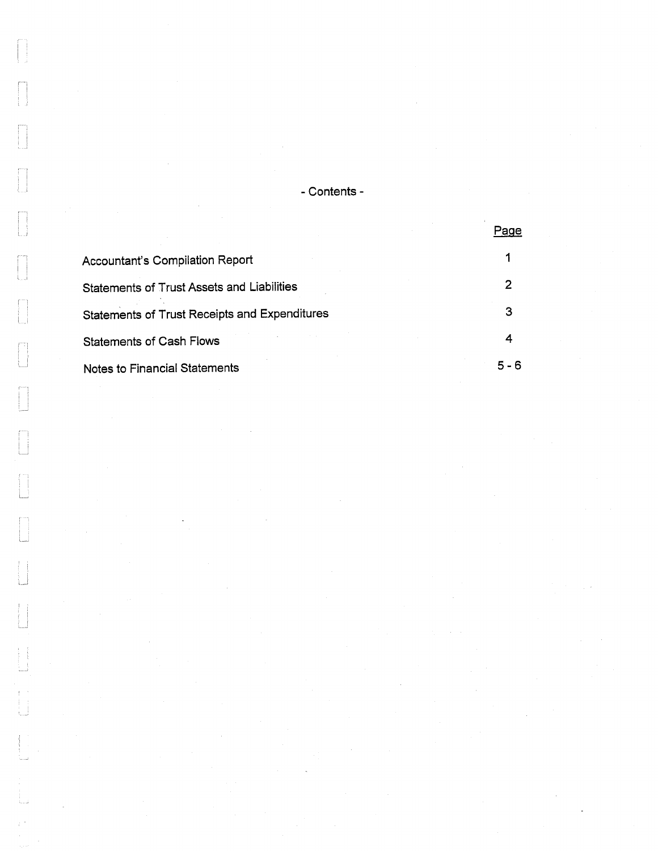- Contents -

|                                                   | Page |
|---------------------------------------------------|------|
| <b>Accountant's Compilation Report</b>            |      |
| <b>Statements of Trust Assets and Liabilities</b> |      |
| Statements of Trust Receipts and Expenditures     | З    |
| <b>Statements of Cash Flows</b>                   |      |
| Notes to Financial Statements                     |      |

 $\begin{bmatrix} 1 \\ 1 \end{bmatrix}$ 

 $\begin{bmatrix} 1 & 0 \\ 0 & 1 \end{bmatrix}$ 

 $\sqrt{2}$ 

 $\Box$ 

 $\begin{bmatrix} 1 \\ 1 \end{bmatrix}$ 

 $\begin{bmatrix} 1 \\ 1 \\ 1 \end{bmatrix}$ 

 $\begin{bmatrix} 1 \\ 1 \\ 1 \end{bmatrix}$ 

 $\begin{bmatrix} 1 & 0 & 0 \\ 0 & 0 & 0 \\ 0 & 0 & 0 \\ 0 & 0 & 0 \\ 0 & 0 & 0 \\ 0 & 0 & 0 \\ 0 & 0 & 0 \\ 0 & 0 & 0 \\ 0 & 0 & 0 \\ 0 & 0 & 0 & 0 \\ 0 & 0 & 0 & 0 \\ 0 & 0 & 0 & 0 \\ 0 & 0 & 0 & 0 \\ 0 & 0 & 0 & 0 & 0 \\ 0 & 0 & 0 & 0 & 0 \\ 0 & 0 & 0 & 0 & 0 \\ 0 & 0 & 0 & 0 & 0 \\ 0 & 0 & 0 & 0 & 0 & 0 \\ 0 & 0 &$ 

F

 $\int$ 

 $\begin{bmatrix} 1 & 1 \\ 1 & 1 \end{bmatrix}$ 

 $\begin{bmatrix} 1 & 1 \\ 1 & 1 \\ 1 & 1 \end{bmatrix}$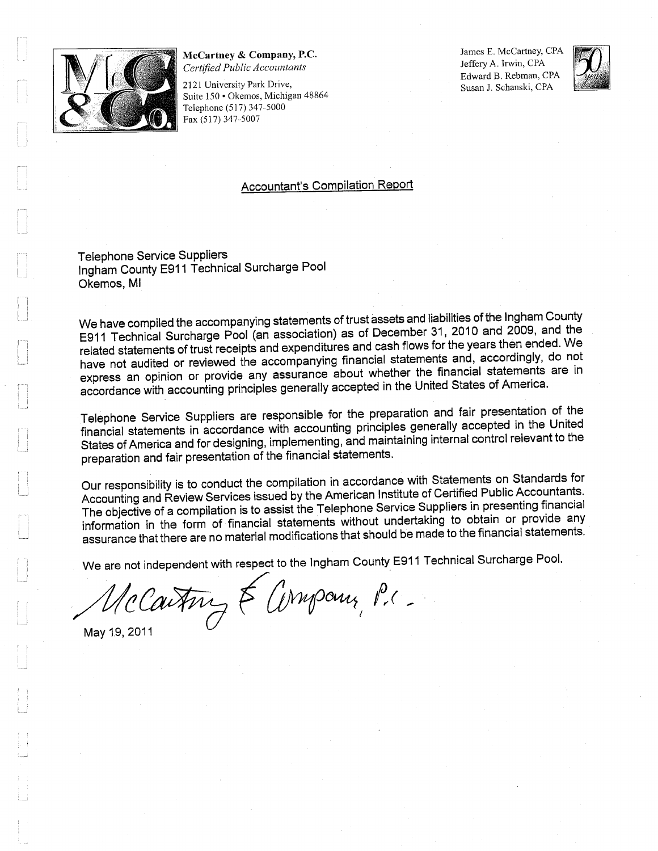

#### McCartney & Company, P.C. Certified Public Accountants

2121 University Park Drive, Suite 150 · Okemos, Michigan 48864 Telephone (517) 347-5000 Fax (517) 347-5007

James E. McCartney, CPA Jeffery A. Irwin, CPA Edward B. Rebman, CPA Susan J. Schanski, CPA



#### Accountant's Compilation Report

Telephone Service Suppliers Ingham County E911 Technical Surcharge Pool Okemos, Ml

We have compiled the accompanying statements of trust assets and liabilities of the Ingham County E911 Technical Surcharge Pool (an association) as of December 31, 2010 and 2009, and the related statements of trust receipts and expenditures and cash flows for the years then ended. We have not audited or reviewed the accompanying financial statements and, accordingly, do not express an opinion or provide any assurance about whether the financial statements are in accordance with accounting principles generally accepted in the United States of America.

Telephone Service Suppliers are responsible for the preparation and fair presentation of the financial statements in accordance with accounting principles generally accepted in the United States of America and for designing, implementing, and maintaining internal control relevant to the preparation and fair presentation of the financial statements.

Our responsibility is to conduct the compilation in accordance with Statements on Standards for Accounting and Review Services issued by the American Institute of Certified Public Accountants The objective of a compilation is to assist the Telephone Service Suppliers in presenting financial information in the form of financial statements without undertaking to obtain or provide any assurance that there are no material modifications that should be made to the financial statements.

We are not independent with respect to the Ingham County E911 Technical Surcharge Pool.

McCartin & Company, P.C.

May 19, 2011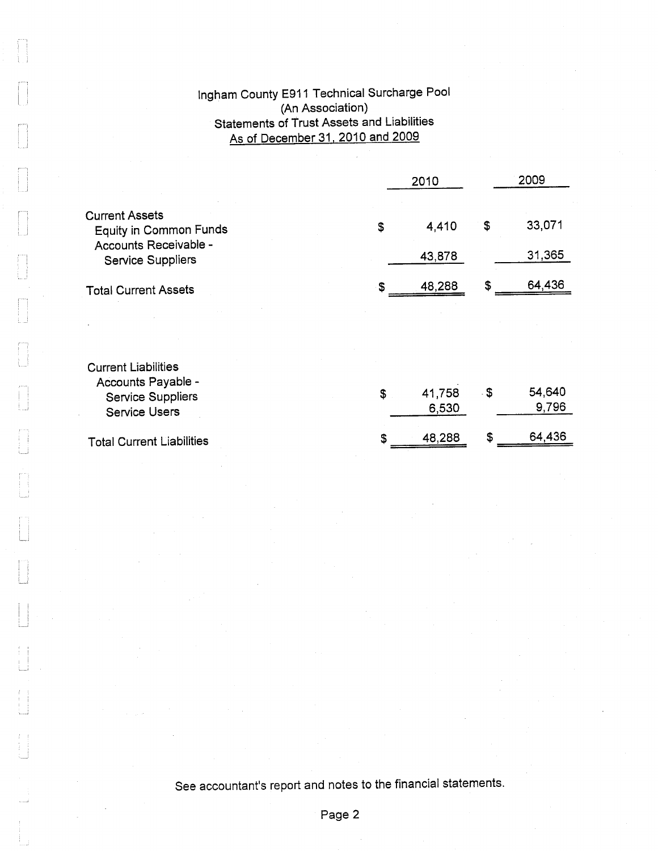## lngham County E911 Technical Surcharge Pool (An Association) Statements of Trust Assets and Liabilities As of December 31. 2010 and 2009

|                                                        | 2010 |                 |      | 2009            |  |
|--------------------------------------------------------|------|-----------------|------|-----------------|--|
| <b>Current Assets</b><br><b>Equity in Common Funds</b> | \$   | 4,410           | \$   | 33,071          |  |
| Accounts Receivable -<br><b>Service Suppliers</b>      |      | 43,878          |      | 31,365          |  |
| <b>Total Current Assets</b>                            | \$   | 48,288          | \$   | 64,436          |  |
|                                                        |      |                 |      |                 |  |
| <b>Current Liabilities</b><br>Accounts Payable -       |      |                 |      |                 |  |
| <b>Service Suppliers</b><br><b>Service Users</b>       | \$   | 41,758<br>6,530 | - \$ | 54,640<br>9,796 |  |
| <b>Total Current Liabilities</b>                       | S    | 48,288          | \$   | 64,436          |  |

f<br>1

See accountant's report and notes to the financial statements.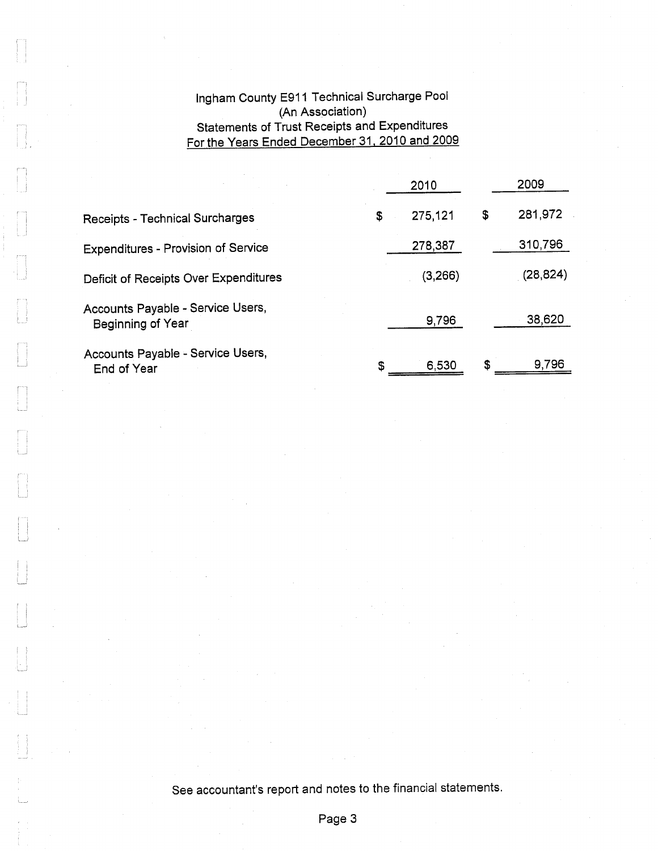## Ingham County E911 Technical Surcharge Pool (An Association) Statements of Trust Receipts and Expenditures For the Years Ended December 31. 2010 and 2009

|                                                        | 2010 |               | 2009      |
|--------------------------------------------------------|------|---------------|-----------|
| <b>Receipts - Technical Surcharges</b>                 | \$   | 275,121<br>\$ | 281,972   |
| <b>Expenditures - Provision of Service</b>             |      | 278,387       | 310,796   |
| Deficit of Receipts Over Expenditures                  |      | (3,266)       | (28, 824) |
| Accounts Payable - Service Users,<br>Beginning of Year |      | 9,796         | 38,620    |
| Accounts Payable - Service Users,<br>End of Year       | \$   | \$<br>6,530   | 9,796     |

See accountant's report and notes to the financial statements.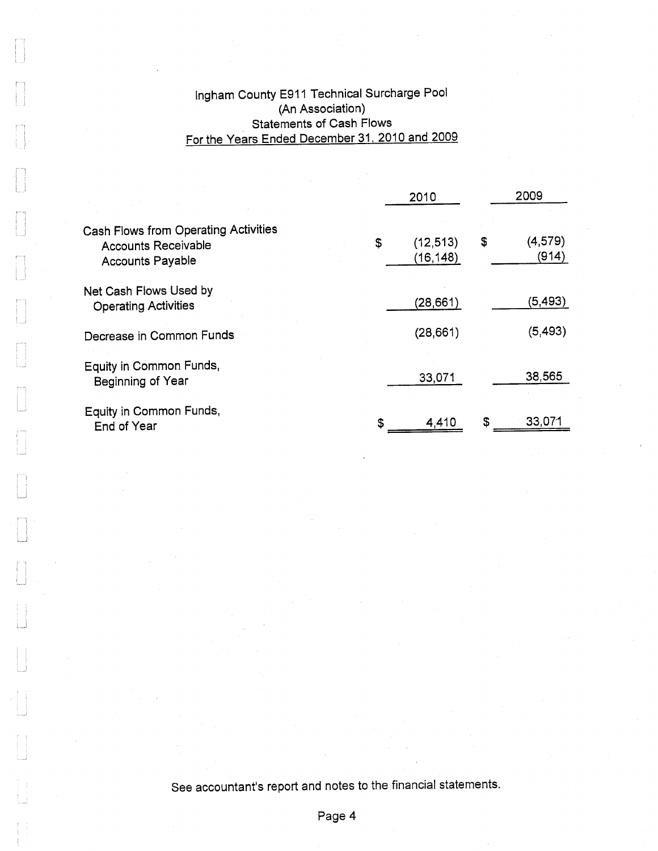# lngham County E911 Technical Surcharge Pool (An Association) Statements of Cash Flows For the Years Ended December 31, 2010 and 2009

|                                                                                                      |  | 2010 |                        | 2009                   |  |
|------------------------------------------------------------------------------------------------------|--|------|------------------------|------------------------|--|
| <b>Cash Flows from Operating Activities</b><br><b>Accounts Receivable</b><br><b>Accounts Payable</b> |  | \$   | (12, 513)<br>(16, 148) | \$<br>(4,579)<br>(914) |  |
| Net Cash Flows Used by<br><b>Operating Activities</b>                                                |  |      | (28, 661)              | (5,493)                |  |
| Decrease in Common Funds                                                                             |  |      | (28, 661)              | (5, 493)               |  |
| Equity in Common Funds,<br>Beginning of Year                                                         |  |      | 33,071                 | 38,565                 |  |
| Equity in Common Funds,<br>End of Year                                                               |  | \$   | 4,410                  | \$<br>33,071           |  |

See accountant's report and notes to the financial statements.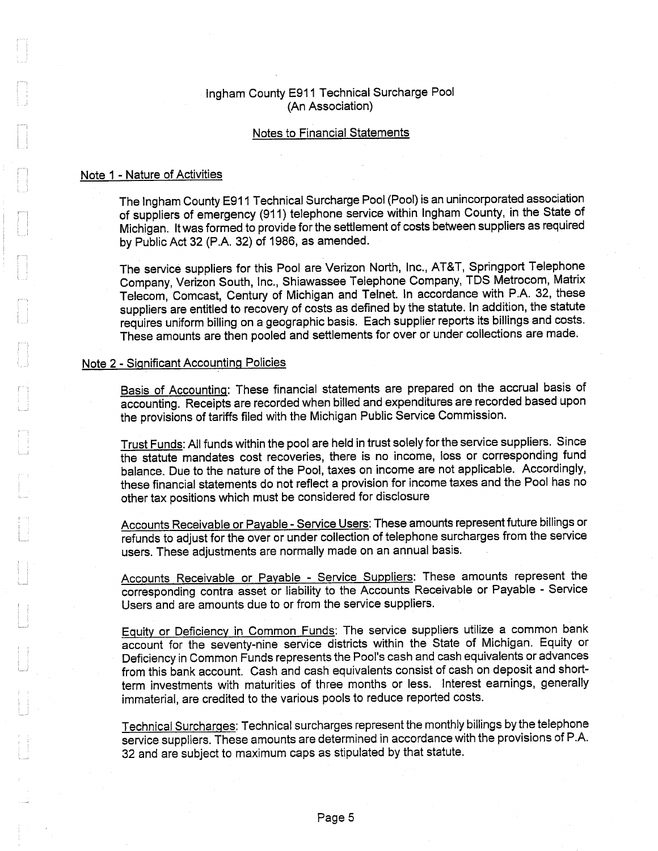#### Ingham County E911 Technical Surcharge Pool (An Association)

#### Notes to Financial Statements

#### Note 1 - Nature of Activities

The Ingham County E911 Technical Surcharge Pool (Pool) is an unincorporated association of suppliers of emergency (911) telephone service within Ingham County, in the State of Michigan. It was formed to provide for the settlement of costs between suppliers as required by Public Act 32 (P.A. 32) of 1986, as amended.

The service suppliers for this Pool are Verizon North, Inc., AT&T, Springport Telephone Company, Verizon South, Inc., Shiawassee Telephone Company, TDS Metrocom, Matrix Telecom, Comcast, Century of Michigan and Telnet. In accordance with P.A. 32, these suppliers are entitled to recovery of costs as defined by the statute. In addition, the statute requires uniform billing on a geographic basis. Each supplier reports its billings and costs. These amounts are then pooled and settlements for over or under collections are made.

#### Note 2 - Significant Accounting Policies

Basis of Accounting: These financial statements are prepared on the accrual basis of accounting. Receipts are recorded when billed and expenditures are recorded based upon the provisions of tariffs filed with the Michigan Public Service Commission.

Trust Funds: All funds within the pool are held in trust solely for the service suppliers. Since the statute mandates cost recoveries, there is no income, loss or corresponding fund balance. Due to the nature of the Pool, taxes on income are not applicable. Accordingly, these financial statements do not reflect a provision for income taxes and the Pool has no other tax positions which must be considered for disclosure

Accounts Receivable or Payable - Service Users: These amounts represent future billings or refunds to adjust for the over or under collection of telephone surcharges from the service users. These adjustments are normally made on an annual basis.

Accounts Receivable or Payable - Service Suppliers: These amounts represent the corresponding contra asset or liability to the Accounts Receivable or Payable - Service Users and are amounts due to or from the service suppliers.

Equity or Deficiency in Common Funds: The service suppliers utilize a common bank account for the seventy-nine service districts within the State of Michigan. Equity or Deficiency in Common Funds represents the Pool's cash and cash equivalents or advances from this bank account. Cash and cash equivalents consist of cash on deposit and shortterm investments with maturities of three months or less. Interest earnings, generally immaterial, are credited to the various pools to reduce reported costs.

Technical Surcharges: Technical surcharges represent the monthly billings by the telephone service suppliers. These amounts are determined in accordance with the provisions of P.A. 32 and are subject to maximum caps as stipulated by that statute.